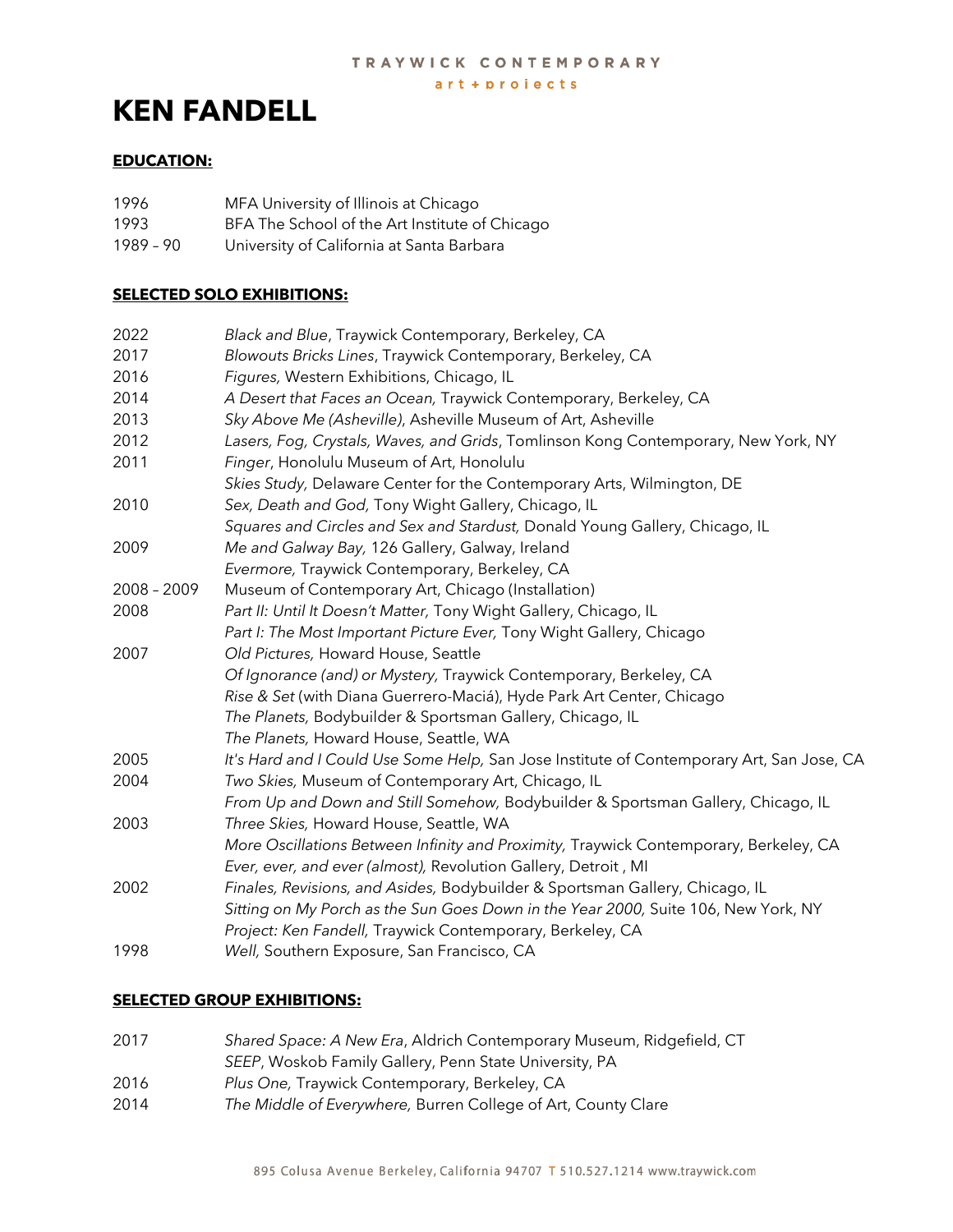art + projects

# **KEN FANDELL**

# **EDUCATION:**

| 1996      | MFA University of Illinois at Chicago          |
|-----------|------------------------------------------------|
| 1993      | BFA The School of the Art Institute of Chicago |
| 1989 - 90 | University of California at Santa Barbara      |

## **SELECTED SOLO EXHIBITIONS:**

| 2022        | Black and Blue, Traywick Contemporary, Berkeley, CA                                       |
|-------------|-------------------------------------------------------------------------------------------|
| 2017        | Blowouts Bricks Lines, Traywick Contemporary, Berkeley, CA                                |
| 2016        | Figures, Western Exhibitions, Chicago, IL                                                 |
| 2014        | A Desert that Faces an Ocean, Traywick Contemporary, Berkeley, CA                         |
| 2013        | Sky Above Me (Asheville), Asheville Museum of Art, Asheville                              |
| 2012        | Lasers, Fog, Crystals, Waves, and Grids, Tomlinson Kong Contemporary, New York, NY        |
| 2011        | Finger, Honolulu Museum of Art, Honolulu                                                  |
|             | Skies Study, Delaware Center for the Contemporary Arts, Wilmington, DE                    |
| 2010        | Sex, Death and God, Tony Wight Gallery, Chicago, IL                                       |
|             | Squares and Circles and Sex and Stardust, Donald Young Gallery, Chicago, IL               |
| 2009        | Me and Galway Bay, 126 Gallery, Galway, Ireland                                           |
|             | Evermore, Traywick Contemporary, Berkeley, CA                                             |
| 2008 - 2009 | Museum of Contemporary Art, Chicago (Installation)                                        |
| 2008        | Part II: Until It Doesn't Matter, Tony Wight Gallery, Chicago, IL                         |
|             | Part I: The Most Important Picture Ever, Tony Wight Gallery, Chicago                      |
| 2007        | Old Pictures, Howard House, Seattle                                                       |
|             | Of Ignorance (and) or Mystery, Traywick Contemporary, Berkeley, CA                        |
|             | Rise & Set (with Diana Guerrero-Maciá), Hyde Park Art Center, Chicago                     |
|             | The Planets, Bodybuilder & Sportsman Gallery, Chicago, IL                                 |
|             | The Planets, Howard House, Seattle, WA                                                    |
| 2005        | It's Hard and I Could Use Some Help, San Jose Institute of Contemporary Art, San Jose, CA |
| 2004        | Two Skies, Museum of Contemporary Art, Chicago, IL                                        |
|             | From Up and Down and Still Somehow, Bodybuilder & Sportsman Gallery, Chicago, IL          |
| 2003        | Three Skies, Howard House, Seattle, WA                                                    |
|             | More Oscillations Between Infinity and Proximity, Traywick Contemporary, Berkeley, CA     |
|             | Ever, ever, and ever (almost), Revolution Gallery, Detroit, MI                            |
| 2002        | Finales, Revisions, and Asides, Bodybuilder & Sportsman Gallery, Chicago, IL              |
|             | Sitting on My Porch as the Sun Goes Down in the Year 2000, Suite 106, New York, NY        |
|             | Project: Ken Fandell, Traywick Contemporary, Berkeley, CA                                 |
| 1998        | Well, Southern Exposure, San Francisco, CA                                                |
|             |                                                                                           |

## **SELECTED GROUP EXHIBITIONS:**

| 2017 | Shared Space: A New Era, Aldrich Contemporary Museum, Ridgefield, CT |
|------|----------------------------------------------------------------------|
|      | SEEP, Woskob Family Gallery, Penn State University, PA               |

- 2016 *Plus One,* Traywick Contemporary, Berkeley, CA
- 2014 *The Middle of Everywhere,* Burren College of Art, County Clare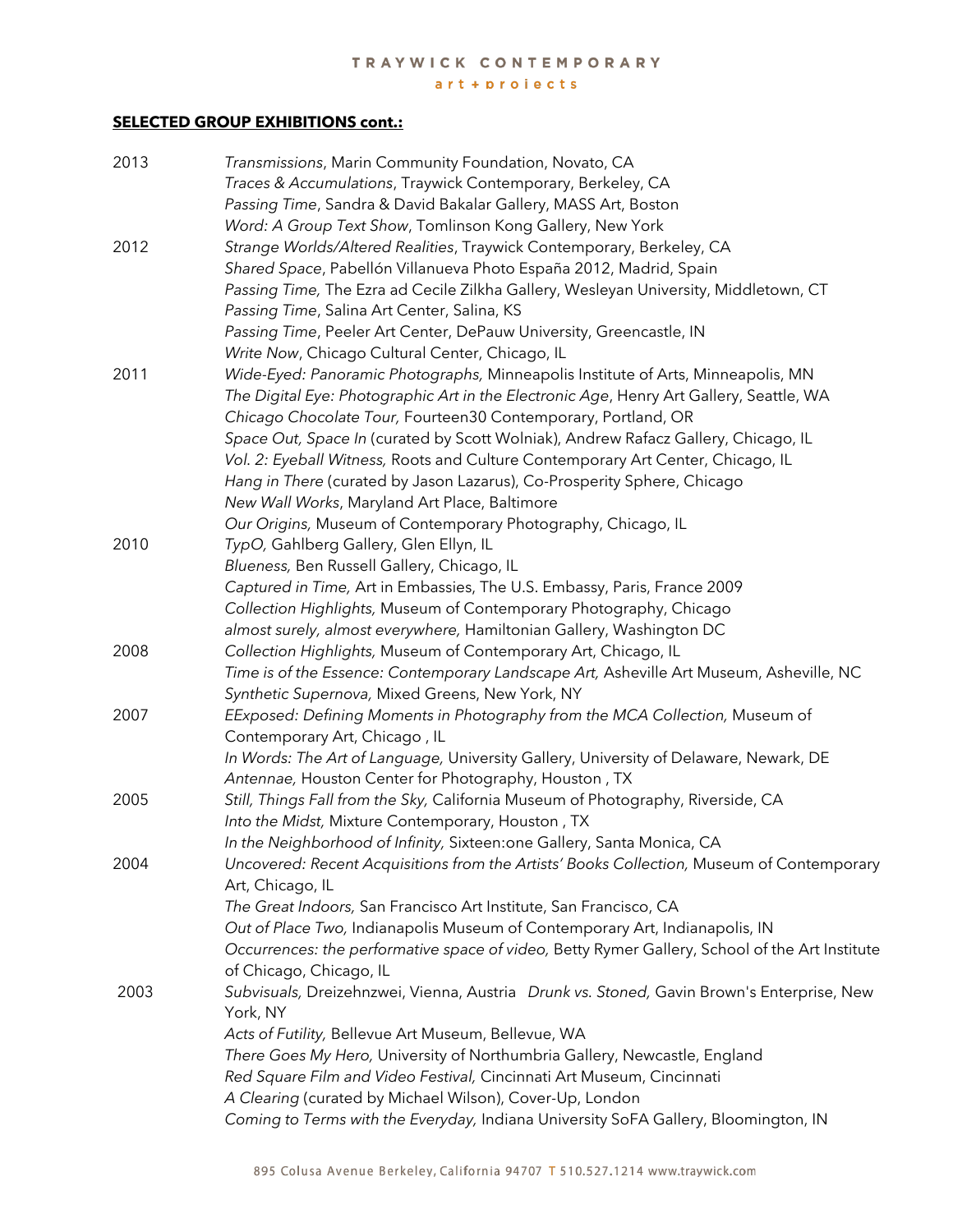## TRAYWICK CONTEMPORARY

art + projects

## **SELECTED GROUP EXHIBITIONS cont.:**

| 2013 | Transmissions, Marin Community Foundation, Novato, CA                                          |
|------|------------------------------------------------------------------------------------------------|
|      | Traces & Accumulations, Traywick Contemporary, Berkeley, CA                                    |
|      | Passing Time, Sandra & David Bakalar Gallery, MASS Art, Boston                                 |
|      | Word: A Group Text Show, Tomlinson Kong Gallery, New York                                      |
| 2012 | Strange Worlds/Altered Realities, Traywick Contemporary, Berkeley, CA                          |
|      | Shared Space, Pabellón Villanueva Photo España 2012, Madrid, Spain                             |
|      | Passing Time, The Ezra ad Cecile Zilkha Gallery, Wesleyan University, Middletown, CT           |
|      | Passing Time, Salina Art Center, Salina, KS                                                    |
|      | Passing Time, Peeler Art Center, DePauw University, Greencastle, IN                            |
|      | Write Now, Chicago Cultural Center, Chicago, IL                                                |
| 2011 | Wide-Eyed: Panoramic Photographs, Minneapolis Institute of Arts, Minneapolis, MN               |
|      | The Digital Eye: Photographic Art in the Electronic Age, Henry Art Gallery, Seattle, WA        |
|      | Chicago Chocolate Tour, Fourteen30 Contemporary, Portland, OR                                  |
|      | Space Out, Space In (curated by Scott Wolniak), Andrew Rafacz Gallery, Chicago, IL             |
|      | Vol. 2: Eyeball Witness, Roots and Culture Contemporary Art Center, Chicago, IL                |
|      |                                                                                                |
|      | Hang in There (curated by Jason Lazarus), Co-Prosperity Sphere, Chicago                        |
|      | New Wall Works, Maryland Art Place, Baltimore                                                  |
|      | Our Origins, Museum of Contemporary Photography, Chicago, IL                                   |
| 2010 | TypO, Gahlberg Gallery, Glen Ellyn, IL                                                         |
|      | Blueness, Ben Russell Gallery, Chicago, IL                                                     |
|      | Captured in Time, Art in Embassies, The U.S. Embassy, Paris, France 2009                       |
|      | Collection Highlights, Museum of Contemporary Photography, Chicago                             |
|      | almost surely, almost everywhere, Hamiltonian Gallery, Washington DC                           |
| 2008 | Collection Highlights, Museum of Contemporary Art, Chicago, IL                                 |
|      | Time is of the Essence: Contemporary Landscape Art, Asheville Art Museum, Asheville, NC        |
|      | Synthetic Supernova, Mixed Greens, New York, NY                                                |
| 2007 | EExposed: Defining Moments in Photography from the MCA Collection, Museum of                   |
|      | Contemporary Art, Chicago, IL                                                                  |
|      | In Words: The Art of Language, University Gallery, University of Delaware, Newark, DE          |
|      | Antennae, Houston Center for Photography, Houston, TX                                          |
| 2005 | Still, Things Fall from the Sky, California Museum of Photography, Riverside, CA               |
|      | Into the Midst, Mixture Contemporary, Houston, TX                                              |
|      | In the Neighborhood of Infinity, Sixteen: one Gallery, Santa Monica, CA                        |
| 2004 | Uncovered: Recent Acquisitions from the Artists' Books Collection, Museum of Contemporary      |
|      | Art, Chicago, IL                                                                               |
|      | The Great Indoors, San Francisco Art Institute, San Francisco, CA                              |
|      | Out of Place Two, Indianapolis Museum of Contemporary Art, Indianapolis, IN                    |
|      | Occurrences: the performative space of video, Betty Rymer Gallery, School of the Art Institute |
|      | of Chicago, Chicago, IL                                                                        |
| 2003 | Subvisuals, Dreizehnzwei, Vienna, Austria Drunk vs. Stoned, Gavin Brown's Enterprise, New      |
|      | York, NY                                                                                       |
|      | Acts of Futility, Bellevue Art Museum, Bellevue, WA                                            |
|      | There Goes My Hero, University of Northumbria Gallery, Newcastle, England                      |
|      | Red Square Film and Video Festival, Cincinnati Art Museum, Cincinnati                          |
|      | A Clearing (curated by Michael Wilson), Cover-Up, London                                       |
|      | Coming to Terms with the Everyday, Indiana University SoFA Gallery, Bloomington, IN            |
|      |                                                                                                |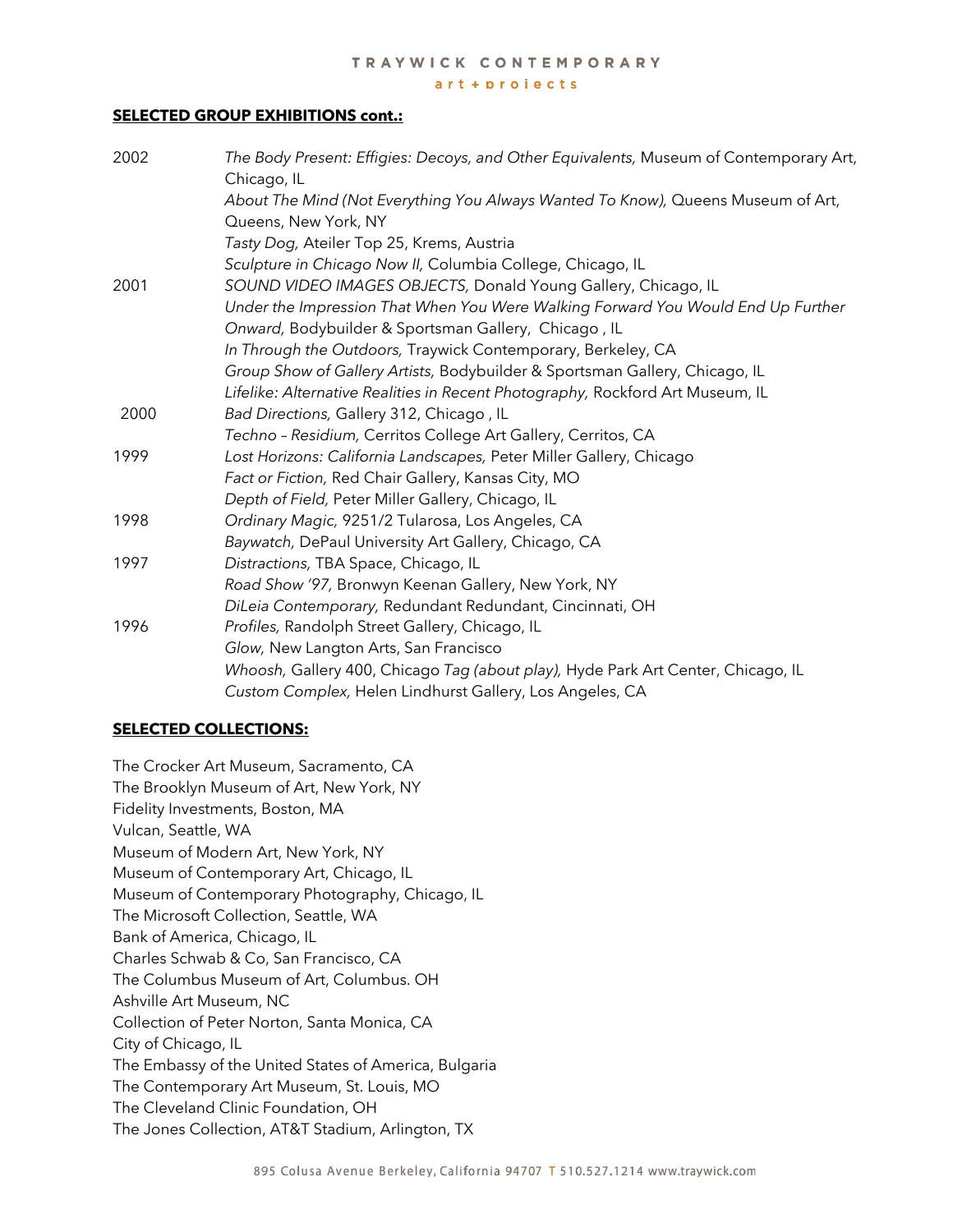### TRAYWICK CONTEMPORARY

#### $art + projects$

#### **SELECTED GROUP EXHIBITIONS cont.:**

| 2002 | The Body Present: Effigies: Decoys, and Other Equivalents, Museum of Contemporary Art,<br>Chicago, IL |
|------|-------------------------------------------------------------------------------------------------------|
|      | About The Mind (Not Everything You Always Wanted To Know), Queens Museum of Art,                      |
|      | Queens, New York, NY                                                                                  |
|      | Tasty Dog, Ateiler Top 25, Krems, Austria                                                             |
|      | Sculpture in Chicago Now II, Columbia College, Chicago, IL                                            |
| 2001 | SOUND VIDEO IMAGES OBJECTS, Donald Young Gallery, Chicago, IL                                         |
|      | Under the Impression That When You Were Walking Forward You Would End Up Further                      |
|      | Onward, Bodybuilder & Sportsman Gallery, Chicago, IL                                                  |
|      | In Through the Outdoors, Traywick Contemporary, Berkeley, CA                                          |
|      | Group Show of Gallery Artists, Bodybuilder & Sportsman Gallery, Chicago, IL                           |
|      | Lifelike: Alternative Realities in Recent Photography, Rockford Art Museum, IL                        |
| 2000 | Bad Directions, Gallery 312, Chicago, IL                                                              |
|      | Techno - Residium, Cerritos College Art Gallery, Cerritos, CA                                         |
| 1999 | Lost Horizons: California Landscapes, Peter Miller Gallery, Chicago                                   |
|      | Fact or Fiction, Red Chair Gallery, Kansas City, MO                                                   |
|      | Depth of Field, Peter Miller Gallery, Chicago, IL                                                     |
| 1998 | Ordinary Magic, 9251/2 Tularosa, Los Angeles, CA                                                      |
|      | Baywatch, DePaul University Art Gallery, Chicago, CA                                                  |
| 1997 | Distractions, TBA Space, Chicago, IL                                                                  |
|      | Road Show '97, Bronwyn Keenan Gallery, New York, NY                                                   |
|      | DiLeia Contemporary, Redundant Redundant, Cincinnati, OH                                              |
| 1996 | Profiles, Randolph Street Gallery, Chicago, IL                                                        |
|      | Glow, New Langton Arts, San Francisco                                                                 |
|      | Whoosh, Gallery 400, Chicago Tag (about play), Hyde Park Art Center, Chicago, IL                      |
|      | Custom Complex, Helen Lindhurst Gallery, Los Angeles, CA                                              |

## **SELECTED COLLECTIONS:**

The Crocker Art Museum, Sacramento, CA The Brooklyn Museum of Art, New York, NY Fidelity Investments, Boston, MA Vulcan, Seattle, WA Museum of Modern Art, New York, NY Museum of Contemporary Art, Chicago, IL Museum of Contemporary Photography, Chicago, IL The Microsoft Collection, Seattle, WA Bank of America, Chicago, IL Charles Schwab & Co, San Francisco, CA The Columbus Museum of Art, Columbus. OH Ashville Art Museum, NC Collection of Peter Norton, Santa Monica, CA City of Chicago, IL The Embassy of the United States of America, Bulgaria The Contemporary Art Museum, St. Louis, MO The Cleveland Clinic Foundation, OH The Jones Collection, AT&T Stadium, Arlington, TX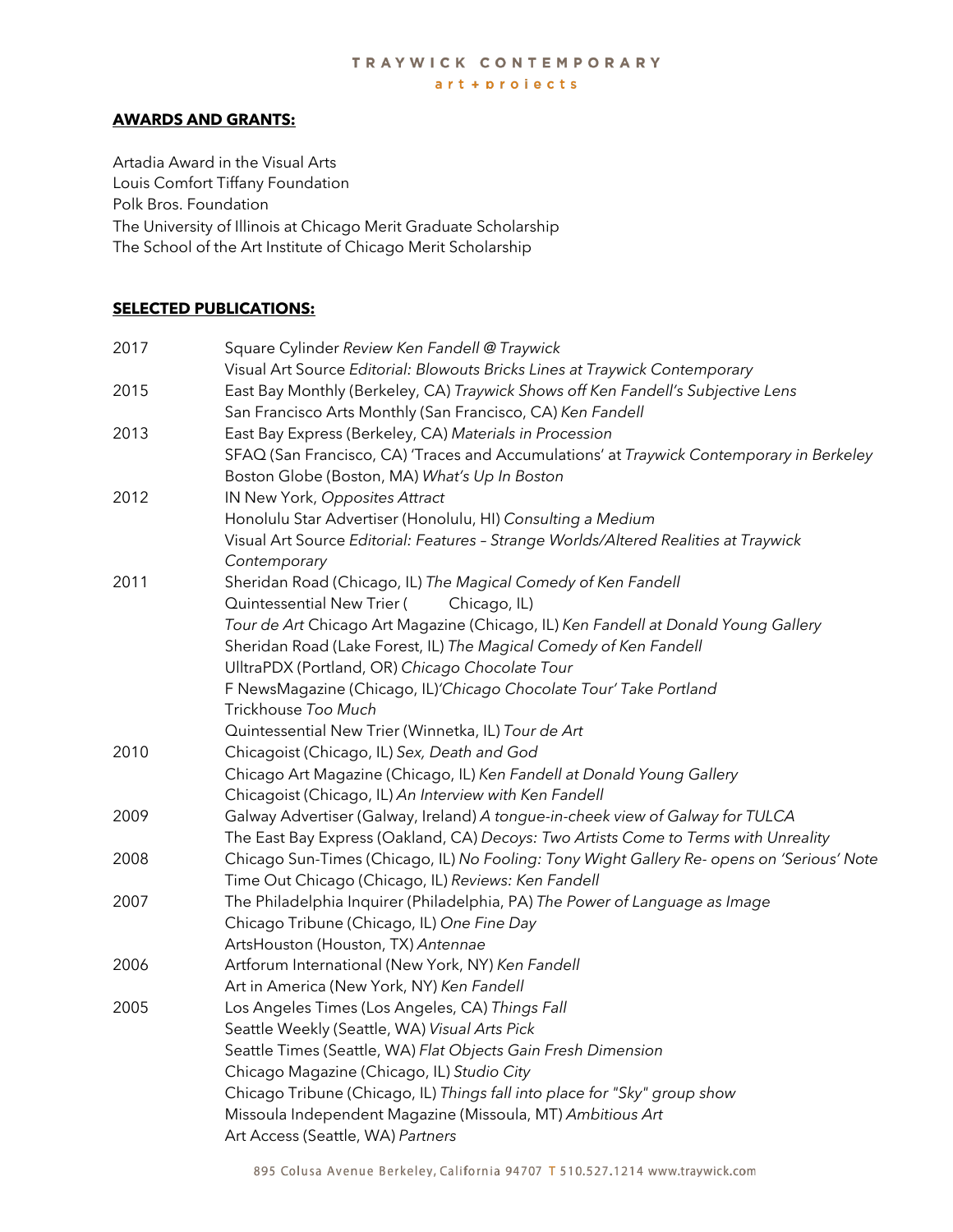#### TRAYWICK CONTEMPORARY  $art + projects$

### **AWARDS AND GRANTS:**

Artadia Award in the Visual Arts Louis Comfort Tiffany Foundation Polk Bros. Foundation The University of Illinois at Chicago Merit Graduate Scholarship The School of the Art Institute of Chicago Merit Scholarship

## **SELECTED PUBLICATIONS:**

| 2017 | Square Cylinder Review Ken Fandell @ Traywick                                              |
|------|--------------------------------------------------------------------------------------------|
|      | Visual Art Source Editorial: Blowouts Bricks Lines at Traywick Contemporary                |
| 2015 | East Bay Monthly (Berkeley, CA) Traywick Shows off Ken Fandell's Subjective Lens           |
|      | San Francisco Arts Monthly (San Francisco, CA) Ken Fandell                                 |
| 2013 | East Bay Express (Berkeley, CA) Materials in Procession                                    |
|      | SFAQ (San Francisco, CA) 'Traces and Accumulations' at Traywick Contemporary in Berkeley   |
|      | Boston Globe (Boston, MA) What's Up In Boston                                              |
| 2012 | IN New York, Opposites Attract                                                             |
|      | Honolulu Star Advertiser (Honolulu, HI) Consulting a Medium                                |
|      | Visual Art Source Editorial: Features - Strange Worlds/Altered Realities at Traywick       |
|      | Contemporary                                                                               |
| 2011 | Sheridan Road (Chicago, IL) The Magical Comedy of Ken Fandell                              |
|      | Chicago, IL)<br>Quintessential New Trier (                                                 |
|      | Tour de Art Chicago Art Magazine (Chicago, IL) Ken Fandell at Donald Young Gallery         |
|      | Sheridan Road (Lake Forest, IL) The Magical Comedy of Ken Fandell                          |
|      | UlltraPDX (Portland, OR) Chicago Chocolate Tour                                            |
|      | F NewsMagazine (Chicago, IL)'Chicago Chocolate Tour' Take Portland                         |
|      | Trickhouse Too Much                                                                        |
|      | Quintessential New Trier (Winnetka, IL) Tour de Art                                        |
| 2010 | Chicagoist (Chicago, IL) Sex, Death and God                                                |
|      | Chicago Art Magazine (Chicago, IL) Ken Fandell at Donald Young Gallery                     |
|      | Chicagoist (Chicago, IL) An Interview with Ken Fandell                                     |
| 2009 | Galway Advertiser (Galway, Ireland) A tongue-in-cheek view of Galway for TULCA             |
|      | The East Bay Express (Oakland, CA) Decoys: Two Artists Come to Terms with Unreality        |
| 2008 | Chicago Sun-Times (Chicago, IL) No Fooling: Tony Wight Gallery Re- opens on 'Serious' Note |
|      | Time Out Chicago (Chicago, IL) Reviews: Ken Fandell                                        |
| 2007 | The Philadelphia Inquirer (Philadelphia, PA) The Power of Language as Image                |
|      | Chicago Tribune (Chicago, IL) One Fine Day                                                 |
|      | ArtsHouston (Houston, TX) Antennae                                                         |
| 2006 | Artforum International (New York, NY) Ken Fandell                                          |
|      | Art in America (New York, NY) Ken Fandell                                                  |
| 2005 | Los Angeles Times (Los Angeles, CA) Things Fall                                            |
|      | Seattle Weekly (Seattle, WA) Visual Arts Pick                                              |
|      | Seattle Times (Seattle, WA) Flat Objects Gain Fresh Dimension                              |
|      | Chicago Magazine (Chicago, IL) Studio City                                                 |
|      | Chicago Tribune (Chicago, IL) Things fall into place for "Sky" group show                  |
|      | Missoula Independent Magazine (Missoula, MT) Ambitious Art                                 |
|      | Art Access (Seattle, WA) Partners                                                          |